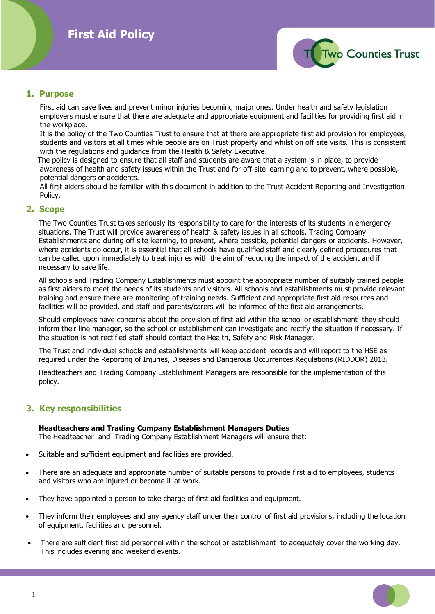

## **1. Purpose**

 First aid can save lives and prevent minor injuries becoming major ones. Under health and safety legislation employers must ensure that there are adequate and appropriate equipment and facilities for providing first aid in the workplace.

 It is the policy of the Two Counties Trust to ensure that at there are appropriate first aid provision for employees, students and visitors at all times while people are on Trust property and whilst on off site visits. This is consistent with the regulations and guidance from the Health & Safety Executive.

 The policy is designed to ensure that all staff and students are aware that a system is in place, to provide awareness of health and safety issues within the Trust and for off-site learning and to prevent, where possible, potential dangers or accidents.

 All first aiders should be familiar with this document in addition to the Trust Accident Reporting and Investigation Policy.

## **2. Scope**

The Two Counties Trust takes seriously its responsibility to care for the interests of its students in emergency situations. The Trust will provide awareness of health & safety issues in all schools, Trading Company Establishments and during off site learning, to prevent, where possible, potential dangers or accidents. However, where accidents do occur, it is essential that all schools have qualified staff and clearly defined procedures that can be called upon immediately to treat injuries with the aim of reducing the impact of the accident and if necessary to save life.

All schools and Trading Company Establishments must appoint the appropriate number of suitably trained people as first aiders to meet the needs of its students and visitors. All schools and establishments must provide relevant training and ensure there are monitoring of training needs. Sufficient and appropriate first aid resources and facilities will be provided, and staff and parents/carers will be informed of the first aid arrangements.

Should employees have concerns about the provision of first aid within the school or establishment they should inform their line manager, so the school or establishment can investigate and rectify the situation if necessary. If the situation is not rectified staff should contact the Health, Safety and Risk Manager.

The Trust and individual schools and establishments will keep accident records and will report to the HSE as required under the Reporting of Injuries, Diseases and Dangerous Occurrences Regulations (RIDDOR) 2013.

Headteachers and Trading Company Establishment Managers are responsible for the implementation of this policy.

# **3. Key responsibilities**

#### **Headteachers and Trading Company Establishment Managers Duties**

The Headteacher and Trading Company Establishment Managers will ensure that:

- Suitable and sufficient equipment and facilities are provided.
- There are an adequate and appropriate number of suitable persons to provide first aid to employees, students and visitors who are injured or become ill at work.
- They have appointed a person to take charge of first aid facilities and equipment.
- They inform their employees and any agency staff under their control of first aid provisions, including the location of equipment, facilities and personnel.
- There are sufficient first aid personnel within the school or establishment to adequately cover the working day. This includes evening and weekend events.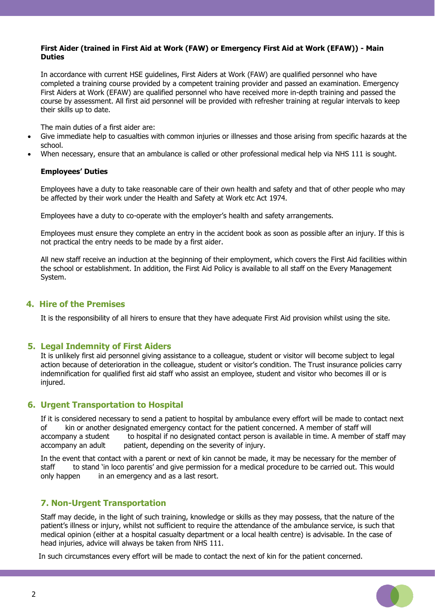#### **First Aider (trained in First Aid at Work (FAW) or Emergency First Aid at Work (EFAW)) - Main Duties**

In accordance with current HSE guidelines, First Aiders at Work (FAW) are qualified personnel who have completed a training course provided by a competent training provider and passed an examination. Emergency First Aiders at Work (EFAW) are qualified personnel who have received more in-depth training and passed the course by assessment. All first aid personnel will be provided with refresher training at regular intervals to keep their skills up to date.

The main duties of a first aider are:

- Give immediate help to casualties with common injuries or illnesses and those arising from specific hazards at the school.
- When necessary, ensure that an ambulance is called or other professional medical help via NHS 111 is sought.

#### **Employees' Duties**

Employees have a duty to take reasonable care of their own health and safety and that of other people who may be affected by their work under the Health and Safety at Work etc Act 1974.

Employees have a duty to co-operate with the employer's health and safety arrangements.

Employees must ensure they complete an entry in the accident book as soon as possible after an injury. If this is not practical the entry needs to be made by a first aider.

All new staff receive an induction at the beginning of their employment, which covers the First Aid facilities within the school or establishment. In addition, the First Aid Policy is available to all staff on the Every Management System.

## **4. Hire of the Premises**

It is the responsibility of all hirers to ensure that they have adequate First Aid provision whilst using the site.

#### **5. Legal Indemnity of First Aiders**

It is unlikely first aid personnel giving assistance to a colleague, student or visitor will become subject to legal action because of deterioration in the colleague, student or visitor's condition. The Trust insurance policies carry indemnification for qualified first aid staff who assist an employee, student and visitor who becomes ill or is injured.

## **6. Urgent Transportation to Hospital**

If it is considered necessary to send a patient to hospital by ambulance every effort will be made to contact next of kin or another designated emergency contact for the patient concerned. A member of staff will accompany a student to hospital if no designated contact person is available in time. A member of staff may accompany an adult patient, depending on the severity of injury.

In the event that contact with a parent or next of kin cannot be made, it may be necessary for the member of staff to stand 'in loco parentis' and give permission for a medical procedure to be carried out. This would only happen in an emergency and as a last resort.

## **7. Non-Urgent Transportation**

Staff may decide, in the light of such training, knowledge or skills as they may possess, that the nature of the patient's illness or injury, whilst not sufficient to require the attendance of the ambulance service, is such that medical opinion (either at a hospital casualty department or a local health centre) is advisable. In the case of head injuries, advice will always be taken from NHS 111.

In such circumstances every effort will be made to contact the next of kin for the patient concerned.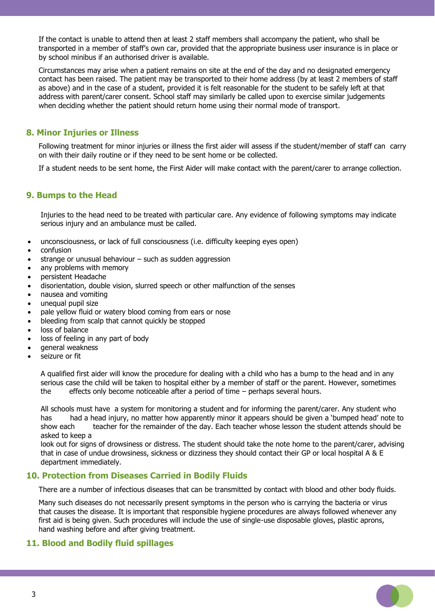If the contact is unable to attend then at least 2 staff members shall accompany the patient, who shall be transported in a member of staff's own car, provided that the appropriate business user insurance is in place or by school minibus if an authorised driver is available.

Circumstances may arise when a patient remains on site at the end of the day and no designated emergency contact has been raised. The patient may be transported to their home address (by at least 2 members of staff as above) and in the case of a student, provided it is felt reasonable for the student to be safely left at that address with parent/carer consent. School staff may similarly be called upon to exercise similar judgements when deciding whether the patient should return home using their normal mode of transport.

# **8. Minor Injuries or Illness**

Following treatment for minor injuries or illness the first aider will assess if the student/member of staff can carry on with their daily routine or if they need to be sent home or be collected.

If a student needs to be sent home, the First Aider will make contact with the parent/carer to arrange collection.

## **9. Bumps to the Head**

Injuries to the head need to be treated with particular care. Any evidence of following symptoms may indicate serious injury and an ambulance must be called.

- unconsciousness, or lack of full consciousness (i.e. difficulty keeping eyes open)
- confusion
- strange or unusual behaviour  $-$  such as sudden aggression
- any problems with memory
- persistent Headache
- disorientation, double vision, slurred speech or other malfunction of the senses
- nausea and vomiting
- unequal pupil size
- pale yellow fluid or watery blood coming from ears or nose
- bleeding from scalp that cannot quickly be stopped
- loss of balance
- loss of feeling in any part of body
- general weakness
- seizure or fit

A qualified first aider will know the procedure for dealing with a child who has a bump to the head and in any serious case the child will be taken to hospital either by a member of staff or the parent. However, sometimes the effects only become noticeable after a period of time – perhaps several hours.

All schools must have a system for monitoring a student and for informing the parent/carer. Any student who has had a head injury, no matter how apparently minor it appears should be given a 'bumped head' note to show each teacher for the remainder of the day. Each teacher whose lesson the student attends should be asked to keep a

look out for signs of drowsiness or distress. The student should take the note home to the parent/carer, advising that in case of undue drowsiness, sickness or dizziness they should contact their GP or local hospital A & E department immediately.

## **10. Protection from Diseases Carried in Bodily Fluids**

There are a number of infectious diseases that can be transmitted by contact with blood and other body fluids.

Many such diseases do not necessarily present symptoms in the person who is carrying the bacteria or virus that causes the disease. It is important that responsible hygiene procedures are always followed whenever any first aid is being given. Such procedures will include the use of single-use disposable gloves, plastic aprons, hand washing before and after giving treatment.

## **11. Blood and Bodily fluid spillages**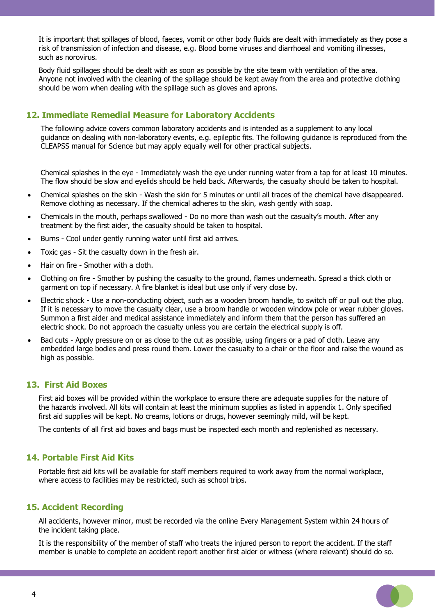It is important that spillages of blood, faeces, vomit or other body fluids are dealt with immediately as they pose a risk of transmission of infection and disease, e.g. Blood borne viruses and diarrhoeal and vomiting illnesses, such as norovirus.

Body fluid spillages should be dealt with as soon as possible by the site team with ventilation of the area. Anyone not involved with the cleaning of the spillage should be kept away from the area and protective clothing should be worn when dealing with the spillage such as gloves and aprons.

## **12. Immediate Remedial Measure for Laboratory Accidents**

The following advice covers common laboratory accidents and is intended as a supplement to any local guidance on dealing with non-laboratory events, e.g. epileptic fits. The following guidance is reproduced from the CLEAPSS manual for Science but may apply equally well for other practical subjects.

Chemical splashes in the eye - Immediately wash the eye under running water from a tap for at least 10 minutes. The flow should be slow and eyelids should be held back. Afterwards, the casualty should be taken to hospital.

- Chemical splashes on the skin Wash the skin for 5 minutes or until all traces of the chemical have disappeared. Remove clothing as necessary. If the chemical adheres to the skin, wash gently with soap.
- Chemicals in the mouth, perhaps swallowed Do no more than wash out the casualty's mouth. After any treatment by the first aider, the casualty should be taken to hospital.
- Burns Cool under gently running water until first aid arrives.
- Toxic gas Sit the casualty down in the fresh air.
- Hair on fire Smother with a cloth.
- Clothing on fire Smother by pushing the casualty to the ground, flames underneath. Spread a thick cloth or garment on top if necessary. A fire blanket is ideal but use only if very close by.
- Electric shock Use a non-conducting object, such as a wooden broom handle, to switch off or pull out the plug. If it is necessary to move the casualty clear, use a broom handle or wooden window pole or wear rubber gloves. Summon a first aider and medical assistance immediately and inform them that the person has suffered an electric shock. Do not approach the casualty unless you are certain the electrical supply is off.
- Bad cuts Apply pressure on or as close to the cut as possible, using fingers or a pad of cloth. Leave any embedded large bodies and press round them. Lower the casualty to a chair or the floor and raise the wound as high as possible.

## **13. First Aid Boxes**

First aid boxes will be provided within the workplace to ensure there are adequate supplies for the nature of the hazards involved. All kits will contain at least the minimum supplies as listed in appendix 1. Only specified first aid supplies will be kept. No creams, lotions or drugs, however seemingly mild, will be kept.

The contents of all first aid boxes and bags must be inspected each month and replenished as necessary.

## **14. Portable First Aid Kits**

Portable first aid kits will be available for staff members required to work away from the normal workplace, where access to facilities may be restricted, such as school trips.

## **15. Accident Recording**

All accidents, however minor, must be recorded via the online Every Management System within 24 hours of the incident taking place.

It is the responsibility of the member of staff who treats the injured person to report the accident. If the staff member is unable to complete an accident report another first aider or witness (where relevant) should do so.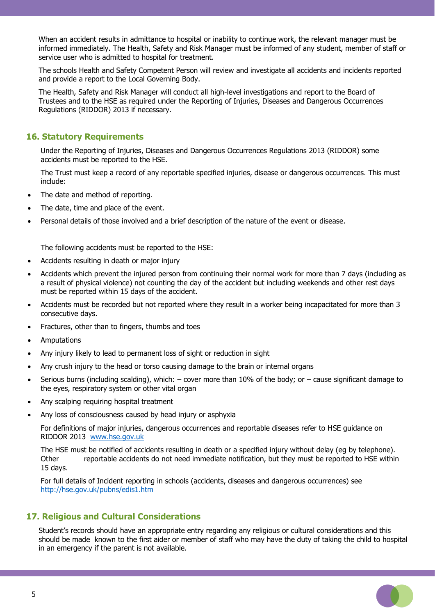When an accident results in admittance to hospital or inability to continue work, the relevant manager must be informed immediately. The Health, Safety and Risk Manager must be informed of any student, member of staff or service user who is admitted to hospital for treatment.

The schools Health and Safety Competent Person will review and investigate all accidents and incidents reported and provide a report to the Local Governing Body.

The Health, Safety and Risk Manager will conduct all high-level investigations and report to the Board of Trustees and to the HSE as required under the Reporting of Injuries, Diseases and Dangerous Occurrences Regulations (RIDDOR) 2013 if necessary.

## **16. Statutory Requirements**

Under the Reporting of Injuries, Diseases and Dangerous Occurrences Regulations 2013 (RIDDOR) some accidents must be reported to the HSE.

The Trust must keep a record of any reportable specified injuries, disease or dangerous occurrences. This must include:

- The date and method of reporting.
- The date, time and place of the event.
- Personal details of those involved and a brief description of the nature of the event or disease.

The following accidents must be reported to the HSE:

- Accidents resulting in death or major injury
- Accidents which prevent the injured person from continuing their normal work for more than 7 days (including as a result of physical violence) not counting the day of the accident but including weekends and other rest days must be reported within 15 days of the accident.
- Accidents must be recorded but not reported where they result in a worker being incapacitated for more than 3 consecutive days.
- Fractures, other than to fingers, thumbs and toes
- **Amputations**
- Any injury likely to lead to permanent loss of sight or reduction in sight
- Any crush injury to the head or torso causing damage to the brain or internal organs
- Serious burns (including scalding), which:  $-$  cover more than 10% of the body; or  $-$  cause significant damage to the eyes, respiratory system or other vital organ
- Any scalping requiring hospital treatment
- Any loss of consciousness caused by head injury or asphyxia

For definitions of major injuries, dangerous occurrences and reportable diseases refer to HSE guidance on RIDDOR 2013 [www.hse.gov.uk](http://www.hse.gov.uk/)

The HSE must be notified of accidents resulting in death or a specified injury without delay (eg by telephone). Other reportable accidents do not need immediate notification, but they must be reported to HSE within 15 days.

For full details of Incident reporting in schools (accidents, diseases and dangerous occurrences) see <http://hse.gov.uk/pubns/edis1.htm>

# **17. Religious and Cultural Considerations**

Student's records should have an appropriate entry regarding any religious or cultural considerations and this should be made known to the first aider or member of staff who may have the duty of taking the child to hospital in an emergency if the parent is not available.